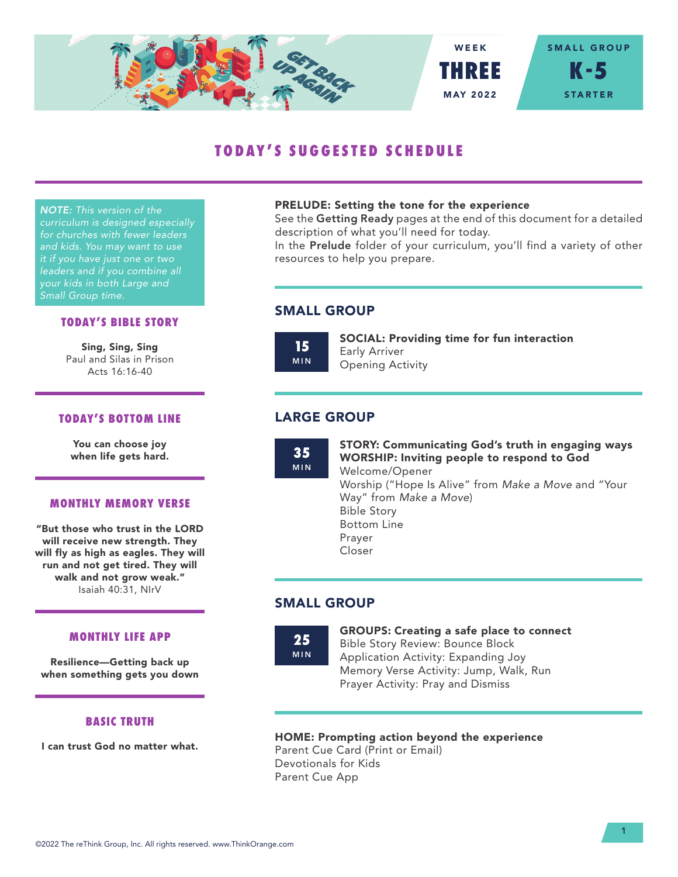

# **TODAY'S SUGGESTED SCHEDULE**

*NOTE: This version of the curriculum is designed especially for churches with fewer leaders and kids. You may want to use it if you have just one or two leaders and if you combine all your kids in both Large and Small Group time.*

# **TODAY'S BIBLE STORY**

Sing, Sing, Sing Paul and Silas in Prison Acts 16:16-40

# **TODAY'S BOTTOM LINE**

You can choose joy when life gets hard.

#### **MONTHLY MEMORY VERSE**

"But those who trust in the LORD will receive new strength. They will fly as high as eagles. They will run and not get tired. They will walk and not grow weak." Isaiah 40:31, NIrV

### **MONTHLY LIFE APP**

Resilience—Getting back up when something gets you down

# **BASIC TRUTH**

I can trust God no matter what.

### PRELUDE: Setting the tone for the experience

See the Getting Ready pages at the end of this document for a detailed description of what you'll need for today.

In the Prelude folder of your curriculum, you'll find a variety of other resources to help you prepare.

# SMALL GROUP

**15** MIN SOCIAL: Providing time for fun interaction Early Arriver Opening Activity

# LARGE GROUP

**35** MIN STORY: Communicating God's truth in engaging ways WORSHIP: Inviting people to respond to God Welcome/Opener Worship ("Hope Is Alive" from *Make a Move* and "Your Way" from *Make a Move*) Bible Story Bottom Line Prayer Closer

# SMALL GROUP

**25** MIN GROUPS: Creating a safe place to connect Bible Story Review: Bounce Block Application Activity: Expanding Joy Memory Verse Activity: Jump, Walk, Run Prayer Activity: Pray and Dismiss

# HOME: Prompting action beyond the experience

Parent Cue Card (Print or Email) Devotionals for Kids Parent Cue App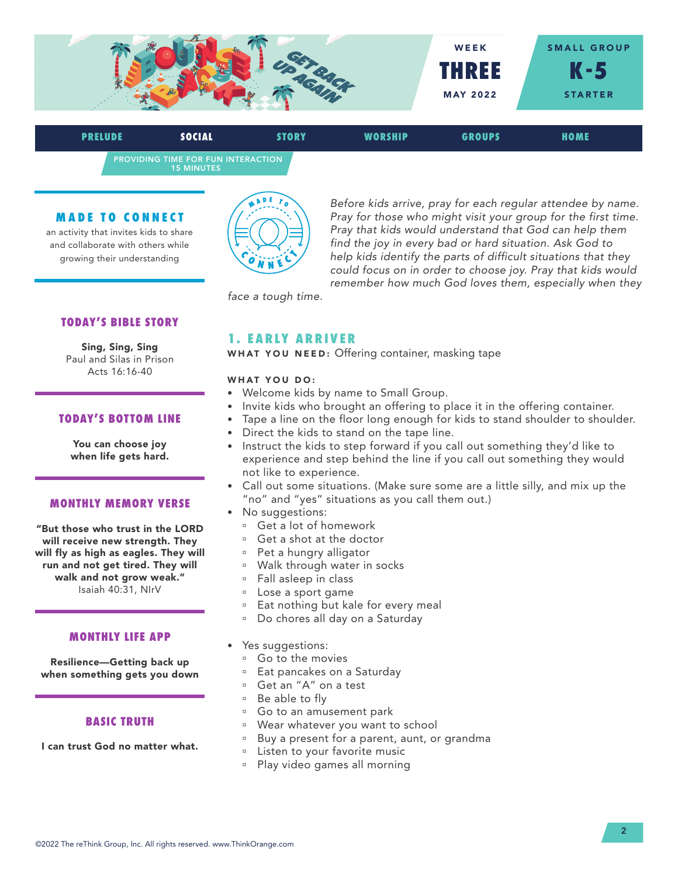

PROVIDING TIME FOR FUN INTERACTION 15 MINUTES **PRELUDE SOCIAL STORY WORSHIP GROUPS HOME**

#### **MADE TO CONNECT**

an activity that invites kids to share and collaborate with others while growing their understanding



*Before kids arrive, pray for each regular attendee by name. Pray for those who might visit your group for the first time. Pray that kids would understand that God can help them find the joy in every bad or hard situation. Ask God to help kids identify the parts of difficult situations that they could focus on in order to choose joy. Pray that kids would remember how much God loves them, especially when they* 

*face a tough time.*

# **TODAY'S BIBLE STORY**

Sing, Sing, Sing Paul and Silas in Prison Acts 16:16-40

# **TODAY'S BOTTOM LINE**

You can choose joy when life gets hard.

#### **MONTHLY MEMORY VERSE**

"But those who trust in the LORD will receive new strength. They will fly as high as eagles. They will run and not get tired. They will walk and not grow weak." Isaiah 40:31, NIrV

#### **MONTHLY LIFE APP**

Resilience—Getting back up when something gets you down

### **BASIC TRUTH**

I can trust God no matter what.

# **1. EARLY ARRIVER**

WHAT YOU NEED: Offering container, masking tape

#### WHAT YOU DO:

- Welcome kids by name to Small Group.
- Invite kids who brought an offering to place it in the offering container.
- Tape a line on the floor long enough for kids to stand shoulder to shoulder.
- Direct the kids to stand on the tape line.
- Instruct the kids to step forward if you call out something they'd like to experience and step behind the line if you call out something they would not like to experience.
- Call out some situations. (Make sure some are a little silly, and mix up the "no" and "yes" situations as you call them out.)
- No suggestions:
	- <sup>□</sup> Get a lot of homework
	- <sup>□</sup> Get a shot at the doctor
	- Pet a hungry alligator
	- <sup>a</sup> Walk through water in socks
	- <sup>n</sup> Fall asleep in class
	- <sup>u</sup> Lose a sport game
	- <sup>a</sup> Eat nothing but kale for every meal
	- <sup>n</sup> Do chores all day on a Saturday
- Yes suggestions:
	- <sup>□</sup> Go to the movies
	- <sup>□</sup> Eat pancakes on a Saturday
	- ú Get an "A" on a test
	- $\overline{a}$  Be able to fly
	- <sup>□</sup> Go to an amusement park
	- <sup>n</sup> Wear whatever you want to school
	- <sup>a</sup> Buy a present for a parent, aunt, or grandma
	- <sup>D</sup> Listen to your favorite music
	- ú Play video games all morning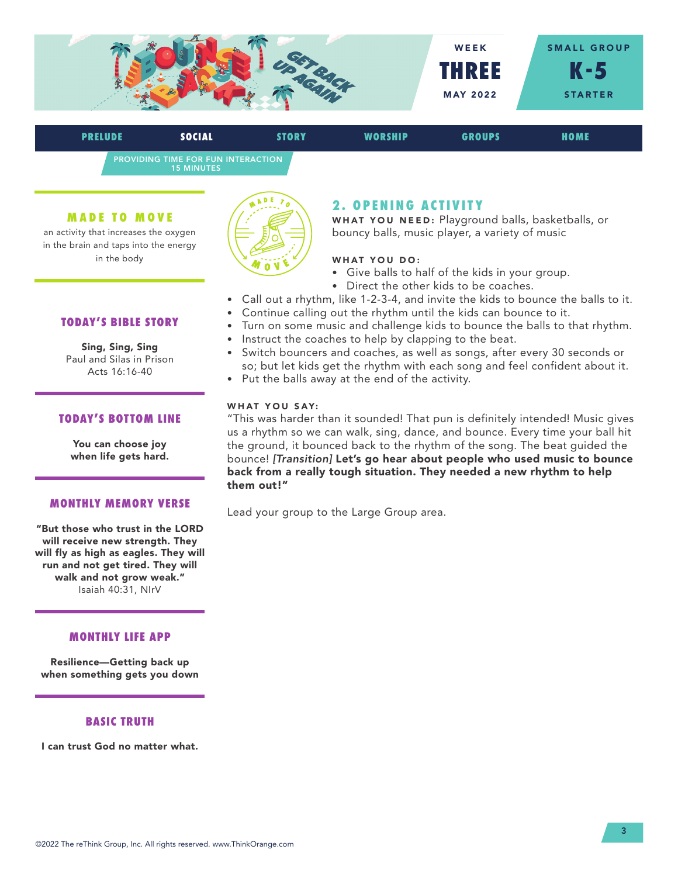

PROVIDING TIME FOR FUN INTERACTION 15 MINUTES **PRELUDE SOCIAL STORY WORSHIP GROUPS HOME**

#### **MADE TO MOVE**

an activity that increases the oxygen in the brain and taps into the energy in the body



# **2 . O P E N I N G A C T I V I T Y**

WHAT YOU NEED: Playground balls, basketballs, or bouncy balls, music player, a variety of music

# WHAT YOU DO:

- Give balls to half of the kids in your group.
- Direct the other kids to be coaches.
- Call out a rhythm, like 1-2-3-4, and invite the kids to bounce the balls to it.
- Continue calling out the rhythm until the kids can bounce to it.
- Turn on some music and challenge kids to bounce the balls to that rhythm.
- Instruct the coaches to help by clapping to the beat.
- Switch bouncers and coaches, as well as songs, after every 30 seconds or so; but let kids get the rhythm with each song and feel confident about it.
- Put the balls away at the end of the activity.

#### WHAT YOU SAY:

"This was harder than it sounded! That pun is definitely intended! Music gives us a rhythm so we can walk, sing, dance, and bounce. Every time your ball hit the ground, it bounced back to the rhythm of the song. The beat guided the bounce! *[Transition]* Let's go hear about people who used music to bounce back from a really tough situation. They needed a new rhythm to help them out!"

Lead your group to the Large Group area.

# **TODAY'S BIBLE STORY**

Sing, Sing, Sing Paul and Silas in Prison Acts 16:16-40

# **TODAY'S BOTTOM LINE**

You can choose joy when life gets hard.

#### **MONTHLY MEMORY VERSE**

"But those who trust in the LORD will receive new strength. They will fly as high as eagles. They will run and not get tired. They will walk and not grow weak." Isaiah 40:31, NIrV

### **MONTHLY LIFE APP**

Resilience—Getting back up when something gets you down

#### **BASIC TRUTH**

I can trust God no matter what.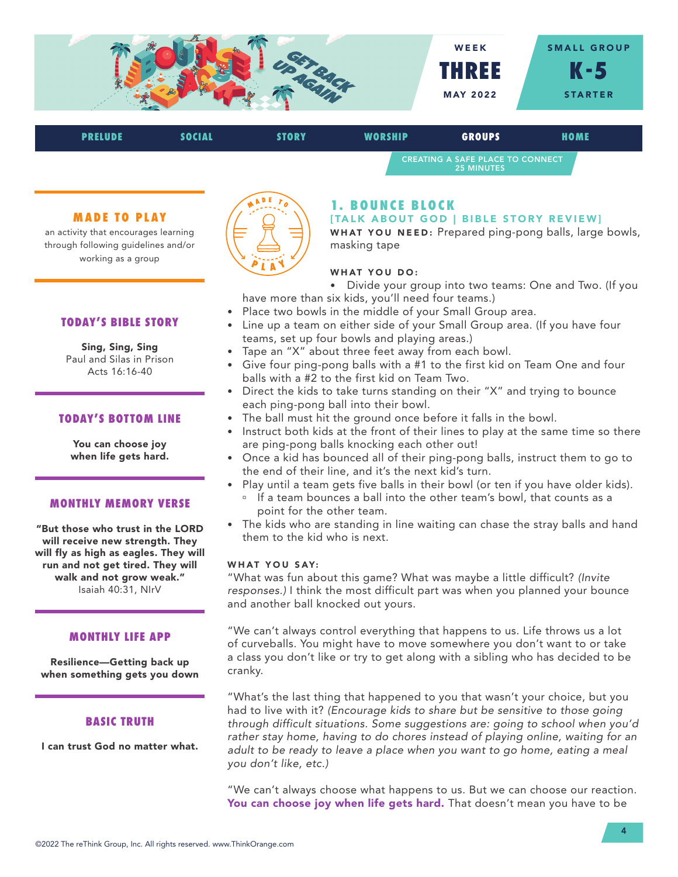

| <b>PRELUDE</b> | SOCIAL | STORY | <b>WORSHIP</b> | <b>GROUPS</b>                                                | HOME |
|----------------|--------|-------|----------------|--------------------------------------------------------------|------|
|                |        |       |                | <b>CREATING A SAFE PLACE TO CONNECT</b><br><b>25 MINUTES</b> |      |

### **MADE TO PLAY**

an activity that encourages learning through following guidelines and/or working as a group



Sing, Sing, Sing Paul and Silas in Prison Acts 16:16-40

# **TODAY'S BOTTOM LINE**

You can choose joy when life gets hard.

#### **MONTHLY MEMORY VERSE**

"But those who trust in the LORD will receive new strength. They will fly as high as eagles. They will run and not get tired. They will walk and not grow weak." Isaiah 40:31, NIrV

#### **MONTHLY LIFE APP**

Resilience—Getting back up when something gets you down

### **BASIC TRUTH**

I can trust God no matter what.



# **1. BOUNCE BLOCK**

#### [TALK ABOUT GOD | BIBLE STORY REVIEW]

WHAT YOU NEED: Prepared ping-pong balls, large bowls, masking tape

### WHAT YOU DO:

- Divide your group into two teams: One and Two. (If you have more than six kids, you'll need four teams.)
- Place two bowls in the middle of your Small Group area.
- Line up a team on either side of your Small Group area. (If you have four teams, set up four bowls and playing areas.)
- Tape an "X" about three feet away from each bowl.
- Give four ping-pong balls with a #1 to the first kid on Team One and four balls with a #2 to the first kid on Team Two.
- Direct the kids to take turns standing on their "X" and trying to bounce each ping-pong ball into their bowl.
- The ball must hit the ground once before it falls in the bowl.
- Instruct both kids at the front of their lines to play at the same time so there are ping-pong balls knocking each other out!
- Once a kid has bounced all of their ping-pong balls, instruct them to go to the end of their line, and it's the next kid's turn.
- Play until a team gets five balls in their bowl (or ten if you have older kids).
	- <sup>n</sup> If a team bounces a ball into the other team's bowl, that counts as a point for the other team.
- The kids who are standing in line waiting can chase the stray balls and hand them to the kid who is next.

### WHAT YOU SAY:

"What was fun about this game? What was maybe a little difficult? *(Invite responses.)* I think the most difficult part was when you planned your bounce and another ball knocked out yours.

"We can't always control everything that happens to us. Life throws us a lot of curveballs. You might have to move somewhere you don't want to or take a class you don't like or try to get along with a sibling who has decided to be cranky.

"What's the last thing that happened to you that wasn't your choice, but you had to live with it? *(Encourage kids to share but be sensitive to those going through difficult situations. Some suggestions are: going to school when you'd*  rather stay home, having to do chores instead of playing online, waiting for an adult to be ready to leave a place when you want to go home, eating a meal *you don't like, etc.)* 

"We can't always choose what happens to us. But we can choose our reaction. You can choose joy when life gets hard. That doesn't mean you have to be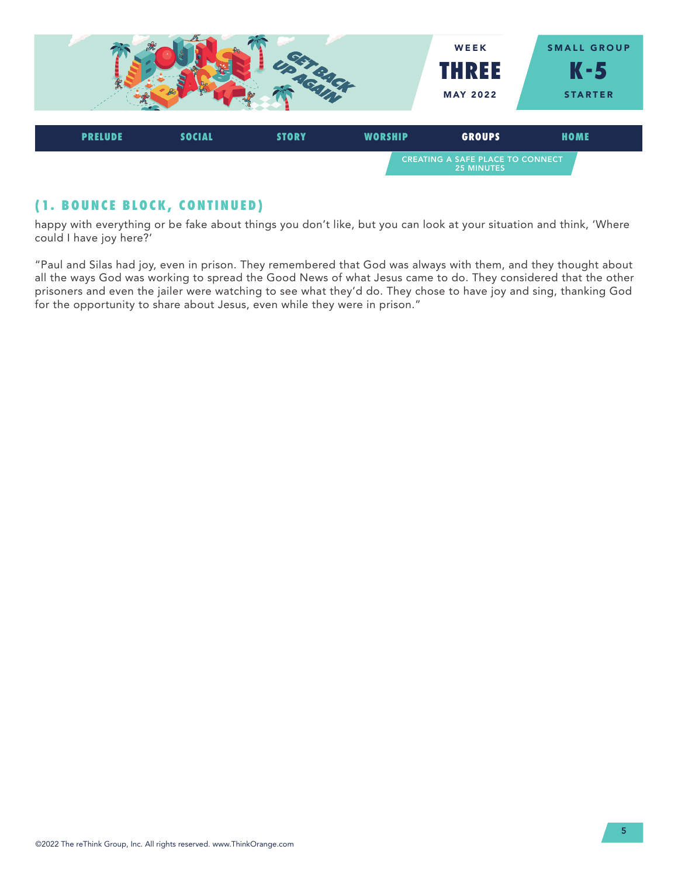

# **(1. BOUNCE BLOCK, CONTINUED)**

happy with everything or be fake about things you don't like, but you can look at your situation and think, 'Where could I have joy here?'

"Paul and Silas had joy, even in prison. They remembered that God was always with them, and they thought about all the ways God was working to spread the Good News of what Jesus came to do. They considered that the other prisoners and even the jailer were watching to see what they'd do. They chose to have joy and sing, thanking God for the opportunity to share about Jesus, even while they were in prison."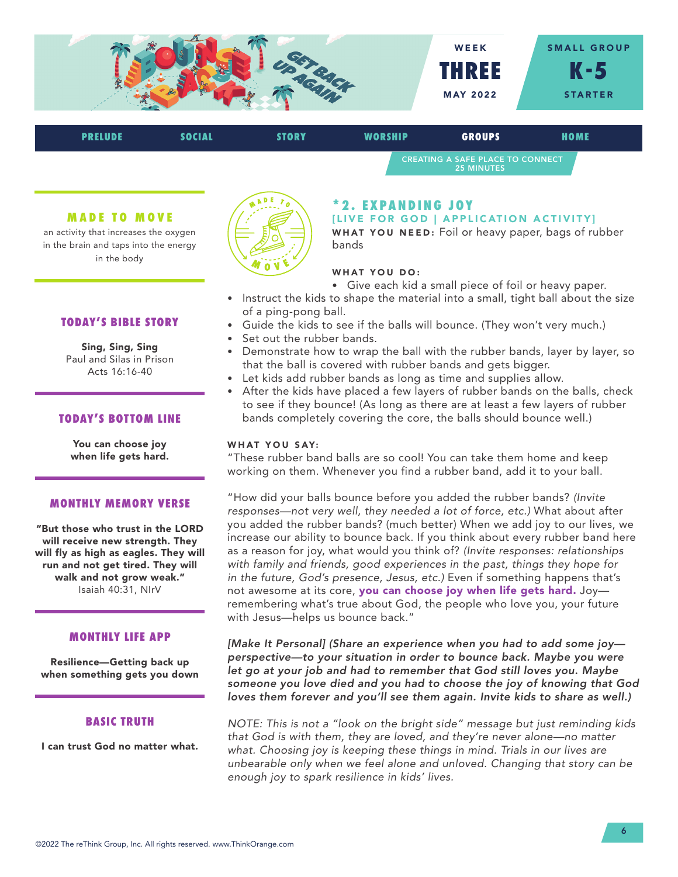

| <b>PRELUDE</b> | <b>SOCIAL</b> | <b>STORY</b> | WORSHIP | <b>GROUPS</b>                                                | HOME |
|----------------|---------------|--------------|---------|--------------------------------------------------------------|------|
|                |               |              |         | <b>CREATING A SAFE PLACE TO CONNECT</b><br><b>25 MINUTES</b> |      |

#### **MADE TO MOVE**

an activity that increases the oxygen in the brain and taps into the energy in the body

# **TODAY'S BIBLE STORY**

Sing, Sing, Sing Paul and Silas in Prison Acts 16:16-40

# **TODAY'S BOTTOM LINE**

You can choose joy when life gets hard.

#### **MONTHLY MEMORY VERSE**

"But those who trust in the LORD will receive new strength. They will fly as high as eagles. They will run and not get tired. They will walk and not grow weak." Isaiah 40:31, NIrV

#### **MONTHLY LIFE APP**

Resilience—Getting back up when something gets you down

#### **BASIC TRUTH**

I can trust God no matter what.



# **\* 2 . E X PA N D I N G J OY**

[LIVE FOR GOD | APPLICATION ACTIVITY]

WHAT YOU NEED: Foil or heavy paper, bags of rubber bands

#### WHAT YOU DO:

- Give each kid a small piece of foil or heavy paper.
- Instruct the kids to shape the material into a small, tight ball about the size of a ping-pong ball.
- Guide the kids to see if the balls will bounce. (They won't very much.)
- Set out the rubber bands.
- Demonstrate how to wrap the ball with the rubber bands, layer by layer, so that the ball is covered with rubber bands and gets bigger.
- Let kids add rubber bands as long as time and supplies allow.
- After the kids have placed a few layers of rubber bands on the balls, check to see if they bounce! (As long as there are at least a few layers of rubber bands completely covering the core, the balls should bounce well.)

### WHAT YOU SAY:

"These rubber band balls are so cool! You can take them home and keep working on them. Whenever you find a rubber band, add it to your ball.

"How did your balls bounce before you added the rubber bands? *(Invite responses—not very well, they needed a lot of force, etc.)* What about after you added the rubber bands? (much better) When we add joy to our lives, we increase our ability to bounce back. If you think about every rubber band here as a reason for joy, what would you think of? *(Invite responses: relationships with family and friends, good experiences in the past, things they hope for in the future, God's presence, Jesus, etc.)* Even if something happens that's not awesome at its core, you can choose joy when life gets hard. Joyremembering what's true about God, the people who love you, your future with Jesus—helps us bounce back."

*[Make It Personal] (Share an experience when you had to add some joy perspective—to your situation in order to bounce back. Maybe you were let go at your job and had to remember that God still loves you. Maybe someone you love died and you had to choose the joy of knowing that God loves them forever and you'll see them again. Invite kids to share as well.)* 

*NOTE: This is not a "look on the bright side" message but just reminding kids that God is with them, they are loved, and they're never alone—no matter what. Choosing joy is keeping these things in mind. Trials in our lives are unbearable only when we feel alone and unloved. Changing that story can be enough joy to spark resilience in kids' lives.*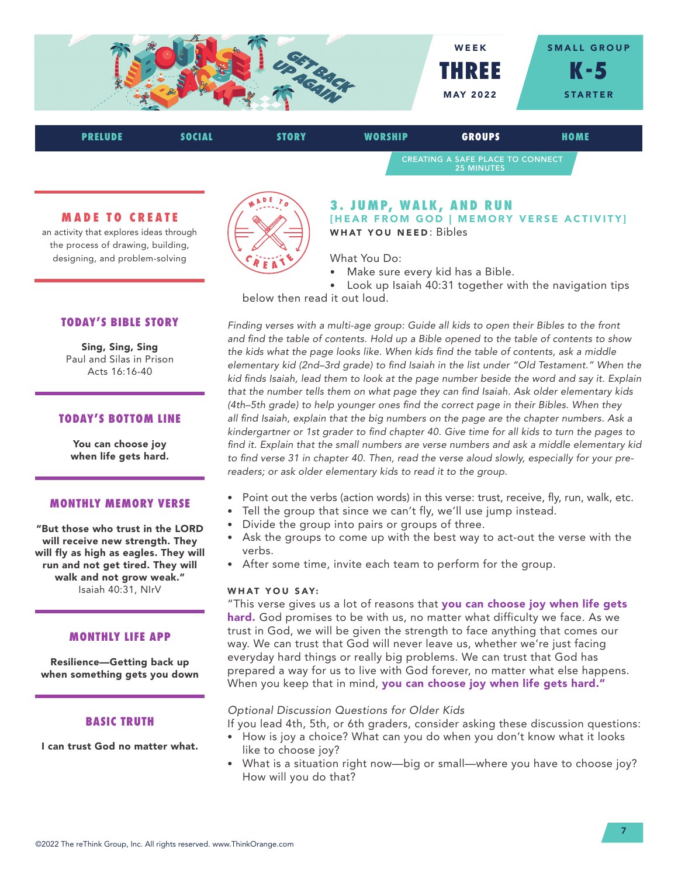

| <b>PRELUDE</b> | SOCIAL | <b>STORY</b> | WORSHIP | <b>GROUPS</b>                                                | HOME |
|----------------|--------|--------------|---------|--------------------------------------------------------------|------|
|                |        |              |         | <b>CREATING A SAFE PLACE TO CONNECT</b><br><b>25 MINUTES</b> |      |

### **MADE TO CREATE**

an activity that explores ideas through the process of drawing, building, designing, and problem-solving

# **TODAY'S BIBLE STORY**

Sing, Sing, Sing Paul and Silas in Prison Acts 16:16-40

# **TODAY'S BOTTOM LINE**

You can choose joy when life gets hard.

#### **MONTHLY MEMORY VERSE**

"But those who trust in the LORD will receive new strength. They will fly as high as eagles. They will run and not get tired. They will walk and not grow weak." Isaiah 40:31, NIrV

#### **MONTHLY LIFE APP**

Resilience—Getting back up when something gets you down

#### **BASIC TRUTH**

I can trust God no matter what.



### **3. JUMP, WALK, AND RUN** [HEAR FROM GOD | MEMORY VERSE ACTIVITY] WHAT YOU NEED: Bibles

What You Do:

• Make sure every kid has a Bible.

Look up Isaiah 40:31 together with the navigation tips below then read it out loud.

*Finding verses with a multi-age group: Guide all kids to open their Bibles to the front and find the table of contents. Hold up a Bible opened to the table of contents to show the kids what the page looks like. When kids find the table of contents, ask a middle elementary kid (2nd–3rd grade) to find Isaiah in the list under "Old Testament." When the kid finds Isaiah, lead them to look at the page number beside the word and say it. Explain that the number tells them on what page they can find Isaiah. Ask older elementary kids (4th–5th grade) to help younger ones find the correct page in their Bibles. When they all find Isaiah, explain that the big numbers on the page are the chapter numbers. Ask a kindergartner or 1st grader to find chapter 40. Give time for all kids to turn the pages to find it. Explain that the small numbers are verse numbers and ask a middle elementary kid to find verse 31 in chapter 40. Then, read the verse aloud slowly, especially for your prereaders; or ask older elementary kids to read it to the group.*

- Point out the verbs (action words) in this verse: trust, receive, fly, run, walk, etc.
- Tell the group that since we can't fly, we'll use jump instead.
	- Divide the group into pairs or groups of three.
	- Ask the groups to come up with the best way to act-out the verse with the verbs.
	- After some time, invite each team to perform for the group.

### WHAT YOU SAY:

"This verse gives us a lot of reasons that you can choose joy when life gets hard. God promises to be with us, no matter what difficulty we face. As we trust in God, we will be given the strength to face anything that comes our way. We can trust that God will never leave us, whether we're just facing everyday hard things or really big problems. We can trust that God has prepared a way for us to live with God forever, no matter what else happens. When you keep that in mind, you can choose joy when life gets hard."

#### *Optional Discussion Questions for Older Kids*

If you lead 4th, 5th, or 6th graders, consider asking these discussion questions:

- How is joy a choice? What can you do when you don't know what it looks like to choose joy?
- What is a situation right now—big or small—where you have to choose joy? How will you do that?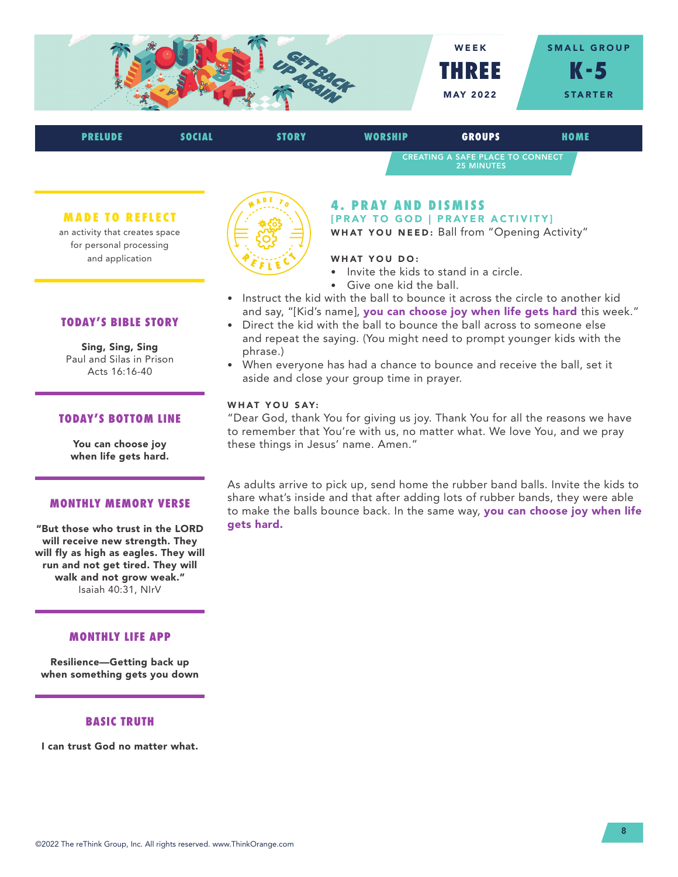

| <b>PRELUDE</b>                 | <b>SOCIAL</b> | <b>STORY</b> | <b>WORSHIP</b>                                                                 | <b>GROUPS</b>                                                | HOME |
|--------------------------------|---------------|--------------|--------------------------------------------------------------------------------|--------------------------------------------------------------|------|
|                                |               |              |                                                                                | <b>CREATING A SAFE PLACE TO CONNECT</b><br><b>25 MINUTES</b> |      |
| <b>MADE TO REFLECT</b>         |               |              | <b>4. PRAY AND DISMISS</b>                                                     |                                                              |      |
| an activity that creates space |               |              | [PRAY TO GOD   PRAYER ACTIVITY]<br>WHAT YOU NEED: Ball from "Opening Activity" |                                                              |      |

WHAT YOU DO:

- Invite the kids to stand in a circle.
- Give one kid the ball.
- Instruct the kid with the ball to bounce it across the circle to another kid and say, "[Kid's name], you can choose joy when life gets hard this week."
- Direct the kid with the ball to bounce the ball across to someone else and repeat the saying. (You might need to prompt younger kids with the phrase.)
- When everyone has had a chance to bounce and receive the ball, set it aside and close your group time in prayer.

### WHAT YOU SAY:

"Dear God, thank You for giving us joy. Thank You for all the reasons we have to remember that You're with us, no matter what. We love You, and we pray these things in Jesus' name. Amen."

As adults arrive to pick up, send home the rubber band balls. Invite the kids to share what's inside and that after adding lots of rubber bands, they were able to make the balls bounce back. In the same way, you can choose joy when life gets hard.

# **TODAY'S BIBLE STORY**

for personal processing and application

Sing, Sing, Sing Paul and Silas in Prison Acts 16:16-40

# **TODAY'S BOTTOM LINE**

You can choose joy when life gets hard.

#### **MONTHLY MEMORY VERSE**

"But those who trust in the LORD will receive new strength. They will fly as high as eagles. They will run and not get tired. They will walk and not grow weak." Isaiah 40:31, NIrV

# **MONTHLY LIFE APP**

Resilience—Getting back up when something gets you down

#### **BASIC TRUTH**

I can trust God no matter what.